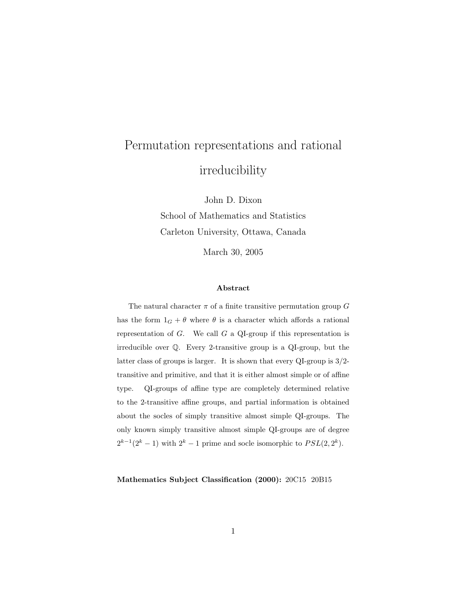# Permutation representations and rational irreducibility

John D. Dixon School of Mathematics and Statistics Carleton University, Ottawa, Canada

March 30, 2005

#### Abstract

The natural character  $\pi$  of a finite transitive permutation group G has the form  $1_G + \theta$  where  $\theta$  is a character which affords a rational representation of  $G$ . We call  $G$  a QI-group if this representation is irreducible over Q. Every 2-transitive group is a QI-group, but the latter class of groups is larger. It is shown that every QI-group is 3/2 transitive and primitive, and that it is either almost simple or of affine type. QI-groups of affine type are completely determined relative to the 2-transitive affine groups, and partial information is obtained about the socles of simply transitive almost simple QI-groups. The only known simply transitive almost simple QI-groups are of degree  $2^{k-1}(2^k-1)$  with  $2^k-1$  prime and socle isomorphic to  $PSL(2, 2^k)$ .

Mathematics Subject Classification (2000): 20C15 20B15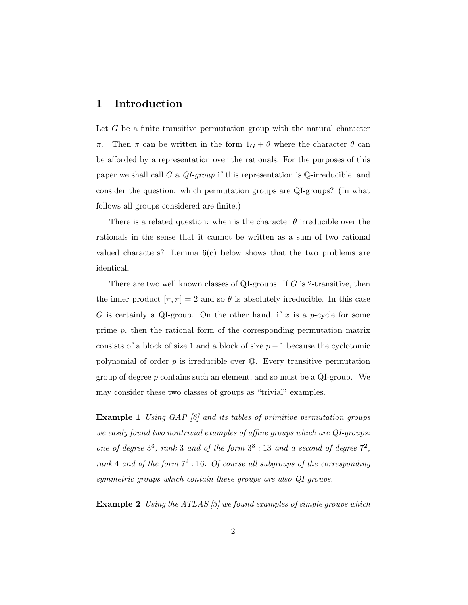#### 1 Introduction

Let G be a finite transitive permutation group with the natural character π. Then π can be written in the form  $1_G + \theta$  where the character  $\theta$  can be afforded by a representation over the rationals. For the purposes of this paper we shall call G a  $QI$ -group if this representation is  $\mathbb{Q}$ -irreducible, and consider the question: which permutation groups are QI-groups? (In what follows all groups considered are finite.)

There is a related question: when is the character  $\theta$  irreducible over the rationals in the sense that it cannot be written as a sum of two rational valued characters? Lemma  $6(c)$  below shows that the two problems are identical.

There are two well known classes of QI-groups. If  $G$  is 2-transitive, then the inner product  $[\pi, \pi] = 2$  and so  $\theta$  is absolutely irreducible. In this case G is certainly a QI-group. On the other hand, if  $x$  is a p-cycle for some prime  $p$ , then the rational form of the corresponding permutation matrix consists of a block of size 1 and a block of size  $p-1$  because the cyclotomic polynomial of order  $p$  is irreducible over  $\mathbb Q$ . Every transitive permutation group of degree p contains such an element, and so must be a QI-group. We may consider these two classes of groups as "trivial" examples.

**Example 1** Using GAP [6] and its tables of primitive permutation groups we easily found two nontrivial examples of affine groups which are QI-groups: one of degree  $3^3$ , rank 3 and of the form  $3^3$  : 13 and a second of degree  $7^2$ , rank 4 and of the form  $7^2$  : 16. Of course all subgroups of the corresponding symmetric groups which contain these groups are also QI-groups.

**Example 2** Using the ATLAS [3] we found examples of simple groups which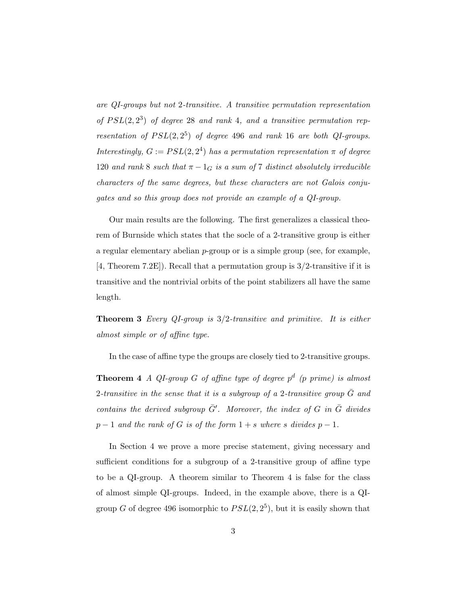are QI-groups but not 2-transitive. A transitive permutation representation of  $PSL(2, 2^3)$  of degree 28 and rank 4, and a transitive permutation representation of  $PSL(2, 2^5)$  of degree 496 and rank 16 are both QI-groups. Interestingly,  $G := PSL(2, 2^4)$  has a permutation representation  $\pi$  of degree 120 and rank 8 such that  $\pi - 1_G$  is a sum of 7 distinct absolutely irreducible characters of the same degrees, but these characters are not Galois conjugates and so this group does not provide an example of a QI-group.

Our main results are the following. The first generalizes a classical theorem of Burnside which states that the socle of a 2-transitive group is either a regular elementary abelian  $p$ -group or is a simple group (see, for example, [4, Theorem 7.2E]). Recall that a permutation group is 3/2-transitive if it is transitive and the nontrivial orbits of the point stabilizers all have the same length.

**Theorem 3** Every QI-group is  $3/2$ -transitive and primitive. It is either almost simple or of affine type.

In the case of affine type the groups are closely tied to 2-transitive groups.

**Theorem 4** A QI-group G of affine type of degree  $p^d$  (p prime) is almost 2-transitive in the sense that it is a subgroup of a 2-transitive group  $\bar{G}$  and contains the derived subgroup  $\bar{G}'$ . Moreover, the index of G in  $\bar{G}$  divides  $p-1$  and the rank of G is of the form  $1+s$  where s divides  $p-1$ .

In Section 4 we prove a more precise statement, giving necessary and sufficient conditions for a subgroup of a 2-transitive group of affine type to be a QI-group. A theorem similar to Theorem 4 is false for the class of almost simple QI-groups. Indeed, in the example above, there is a QIgroup G of degree 496 isomorphic to  $PSL(2, 2^5)$ , but it is easily shown that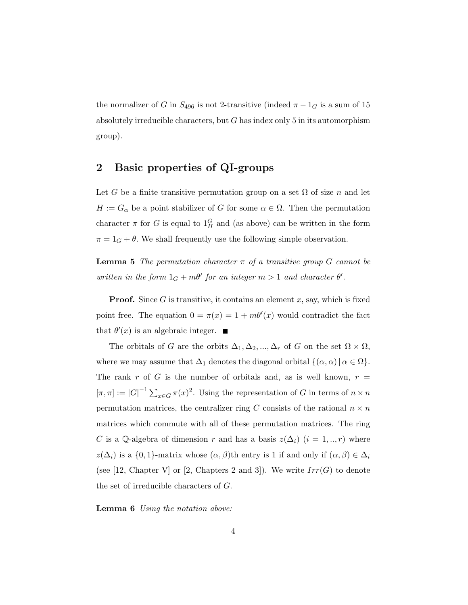the normalizer of G in  $S_{496}$  is not 2-transitive (indeed  $\pi - 1_G$  is a sum of 15 absolutely irreducible characters, but  $G$  has index only 5 in its automorphism group).

#### 2 Basic properties of QI-groups

Let G be a finite transitive permutation group on a set  $\Omega$  of size n and let  $H := G_{\alpha}$  be a point stabilizer of G for some  $\alpha \in \Omega$ . Then the permutation character  $\pi$  for G is equal to  $1_H^G$  and (as above) can be written in the form  $\pi = 1_G + \theta$ . We shall frequently use the following simple observation.

**Lemma 5** The permutation character  $\pi$  of a transitive group G cannot be written in the form  $1_G + m\theta'$  for an integer  $m > 1$  and character  $\theta'$ .

**Proof.** Since G is transitive, it contains an element x, say, which is fixed point free. The equation  $0 = \pi(x) = 1 + m\theta'(x)$  would contradict the fact that  $\theta'(x)$  is an algebraic integer.

The orbitals of G are the orbits  $\Delta_1, \Delta_2, ..., \Delta_r$  of G on the set  $\Omega \times \Omega$ , where we may assume that  $\Delta_1$  denotes the diagonal orbital  $\{(\alpha, \alpha) | \alpha \in \Omega\}$ . The rank r of G is the number of orbitals and, as is well known,  $r =$  $[\pi,\pi] := |G|^{-1} \sum_{x \in G} \pi(x)^2$ . Using the representation of G in terms of  $n \times n$ permutation matrices, the centralizer ring C consists of the rational  $n \times n$ matrices which commute with all of these permutation matrices. The ring C is a Q-algebra of dimension r and has a basis  $z(\Delta_i)$   $(i = 1, ..., r)$  where  $z(\Delta_i)$  is a  $\{0,1\}$ -matrix whose  $(\alpha,\beta)$ th entry is 1 if and only if  $(\alpha,\beta) \in \Delta_i$ (see [12, Chapter V] or [2, Chapters 2 and 3]). We write  $Irr(G)$  to denote the set of irreducible characters of G.

Lemma 6 Using the notation above: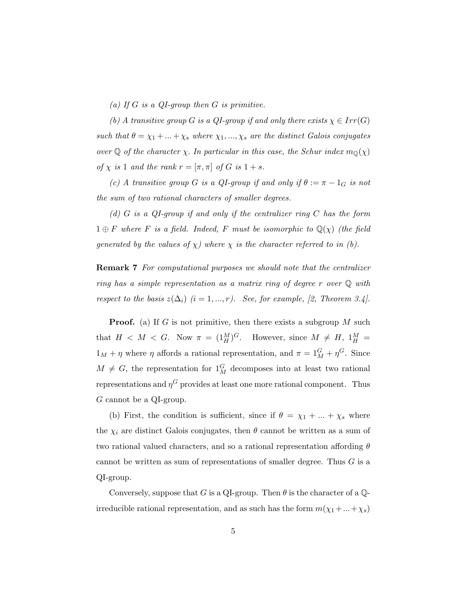(a) If  $G$  is a QI-group then  $G$  is primitive.

(b) A transitive group G is a QI-group if and only there exists  $\chi \in Irr(G)$ such that  $\theta = \chi_1 + ... + \chi_s$  where  $\chi_1, ..., \chi_s$  are the distinct Galois conjugates over  $\mathbb Q$  of the character  $\chi$ . In particular in this case, the Schur index  $m_{\mathbb Q}(\chi)$ of  $\chi$  is 1 and the rank  $r = [\pi, \pi]$  of G is  $1 + s$ .

(c) A transitive group G is a QI-group if and only if  $\theta := \pi - 1_G$  is not the sum of two rational characters of smaller degrees.

(d)  $G$  is a QI-group if and only if the centralizer ring  $C$  has the form  $1 \oplus F$  where F is a field. Indeed, F must be isomorphic to  $\mathbb{Q}(\chi)$  (the field generated by the values of  $\chi$ ) where  $\chi$  is the character referred to in (b).

Remark 7 For computational purposes we should note that the centralizer ring has a simple representation as a matrix ring of degree r over  $\mathbb Q$  with respect to the basis  $z(\Delta_i)$  (i = 1, ..., r). See, for example, [2, Theorem 3.4].

**Proof.** (a) If G is not primitive, then there exists a subgroup M such that  $H \langle M \rangle \langle G \rangle$ . Now  $\pi = (1^M_H)^G$ . However, since  $M \neq H$ ,  $1^M_H =$  $1_M + \eta$  where  $\eta$  affords a rational representation, and  $\pi = 1_M^G + \eta^G$ . Since  $M \neq G$ , the representation for  $1_M^G$  decomposes into at least two rational representations and  $\eta^G$  provides at least one more rational component. Thus G cannot be a QI-group.

(b) First, the condition is sufficient, since if  $\theta = \chi_1 + ... + \chi_s$  where the  $\chi_i$  are distinct Galois conjugates, then  $\theta$  cannot be written as a sum of two rational valued characters, and so a rational representation affording  $\theta$ cannot be written as sum of representations of smaller degree. Thus  $G$  is a QI-group.

Conversely, suppose that G is a QI-group. Then  $\theta$  is the character of a Qirreducible rational representation, and as such has the form  $m(\chi_1 + ... + \chi_s)$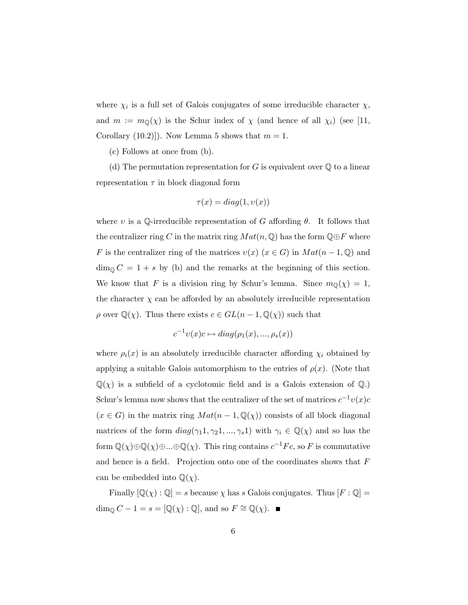where  $\chi_i$  is a full set of Galois conjugates of some irreducible character  $\chi$ , and  $m := m_{\mathbb{Q}}(\chi)$  is the Schur index of  $\chi$  (and hence of all  $\chi_i$ ) (see [11, Corollary (10.2)]). Now Lemma 5 shows that  $m = 1$ .

(c) Follows at once from (b).

(d) The permutation representation for G is equivalent over  $\mathbb Q$  to a linear representation  $\tau$  in block diagonal form

$$
\tau(x) = diag(1, v(x))
$$

where v is a Q-irreducible representation of G affording  $\theta$ . It follows that the centralizer ring C in the matrix ring  $Mat(n, \mathbb{Q})$  has the form  $\mathbb{Q} \oplus F$  where F is the centralizer ring of the matrices  $v(x)$   $(x \in G)$  in  $Mat(n-1, \mathbb{Q})$  and  $\dim_{\mathbb{Q}} C = 1 + s$  by (b) and the remarks at the beginning of this section. We know that F is a division ring by Schur's lemma. Since  $m_{\mathbb{Q}}(\chi) = 1$ , the character  $\chi$  can be afforded by an absolutely irreducible representation  $\rho$  over  $\mathbb{Q}(\chi)$ . Thus there exists  $c \in GL(n-1, \mathbb{Q}(\chi))$  such that

$$
c^{-1}v(x)c \mapsto diag(\rho_1(x), ..., \rho_s(x))
$$

where  $\rho_i(x)$  is an absolutely irreducible character affording  $\chi_i$  obtained by applying a suitable Galois automorphism to the entries of  $\rho(x)$ . (Note that  $\mathbb{Q}(\chi)$  is a subfield of a cyclotomic field and is a Galois extension of  $\mathbb{Q}$ .) Schur's lemma now shows that the centralizer of the set of matrices  $c^{-1}v(x)c$  $(x \in G)$  in the matrix ring  $Mat(n-1,\mathbb{Q}(\chi))$  consists of all block diagonal matrices of the form  $diag(\gamma_1 1, \gamma_2 1, ..., \gamma_s 1)$  with  $\gamma_i \in \mathbb{Q}(\chi)$  and so has the form  $\mathbb{Q}(\chi)\oplus\mathbb{Q}(\chi)\oplus...\oplus\mathbb{Q}(\chi)$ . This ring contains  $c^{-1}Fc$ , so F is commutative and hence is a field. Projection onto one of the coordinates shows that  $F$ can be embedded into  $\mathbb{Q}(\chi)$ .

Finally  $[\mathbb{Q}(\chi) : \mathbb{Q}] = s$  because  $\chi$  has s Galois conjugates. Thus  $[F : \mathbb{Q}] =$ dim<sub>Q</sub>  $C - 1 = s = [\mathbb{Q}(\chi) : \mathbb{Q}]$ , and so  $F \cong \mathbb{Q}(\chi)$ . ■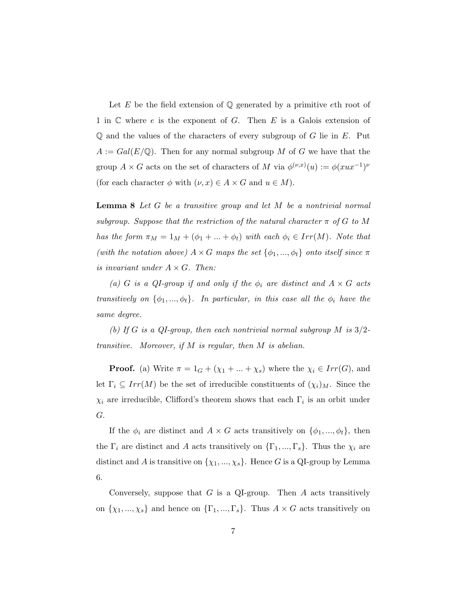Let  $E$  be the field extension of  $\mathbb Q$  generated by a primitive eth root of 1 in  $\mathbb C$  where e is the exponent of G. Then E is a Galois extension of  $\mathbb Q$  and the values of the characters of every subgroup of G lie in  $E$ . Put  $A := Gal(E/\mathbb{Q})$ . Then for any normal subgroup M of G we have that the group  $A \times G$  acts on the set of characters of M via  $\phi^{(\nu,x)}(u) := \phi(xux^{-1})^{\nu}$ (for each character  $\phi$  with  $(\nu, x) \in A \times G$  and  $u \in M$ ).

**Lemma 8** Let  $G$  be a transitive group and let  $M$  be a nontrivial normal subgroup. Suppose that the restriction of the natural character  $\pi$  of G to M has the form  $\pi_M = 1_M + (\phi_1 + ... + \phi_t)$  with each  $\phi_i \in Irr(M)$ . Note that (with the notation above)  $A \times G$  maps the set  $\{\phi_1, ..., \phi_t\}$  onto itself since  $\pi$ is invariant under  $A \times G$ . Then:

(a) G is a QI-group if and only if the  $\phi_i$  are distinct and  $A \times G$  acts transitively on  $\{\phi_1, ..., \phi_t\}$ . In particular, in this case all the  $\phi_i$  have the same degree.

(b) If G is a QI-group, then each nontrivial normal subgroup M is  $3/2$ transitive. Moreover, if  $M$  is regular, then  $M$  is abelian.

**Proof.** (a) Write  $\pi = 1_G + (\chi_1 + ... + \chi_s)$  where the  $\chi_i \in Irr(G)$ , and let  $\Gamma_i \subseteq Irr(M)$  be the set of irreducible constituents of  $(\chi_i)_M$ . Since the  $\chi_i$  are irreducible, Clifford's theorem shows that each  $\Gamma_i$  is an orbit under G.

If the  $\phi_i$  are distinct and  $A \times G$  acts transitively on  $\{\phi_1, ..., \phi_t\}$ , then the  $\Gamma_i$  are distinct and A acts transitively on  $\{\Gamma_1, ..., \Gamma_s\}$ . Thus the  $\chi_i$  are distinct and A is transitive on  $\{\chi_1, ..., \chi_s\}$ . Hence G is a QI-group by Lemma 6.

Conversely, suppose that  $G$  is a QI-group. Then  $A$  acts transitively on  $\{\chi_1, ..., \chi_s\}$  and hence on  $\{\Gamma_1, ..., \Gamma_s\}$ . Thus  $A \times G$  acts transitively on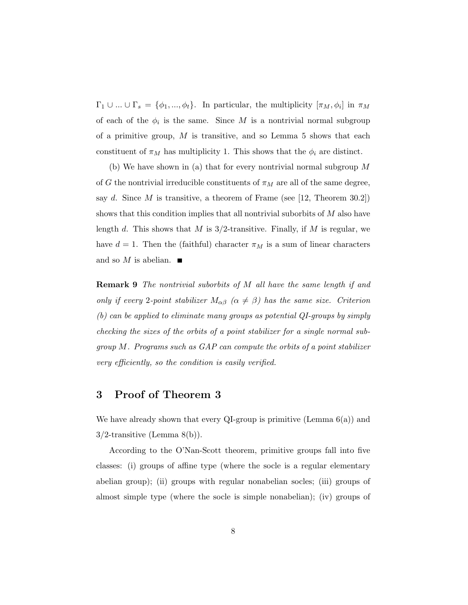$\Gamma_1 \cup ... \cup \Gamma_s = \{\phi_1, ..., \phi_t\}.$  In particular, the multiplicity  $[\pi_M, \phi_i]$  in  $\pi_M$ of each of the  $\phi_i$  is the same. Since M is a nontrivial normal subgroup of a primitive group,  $M$  is transitive, and so Lemma 5 shows that each constituent of  $\pi_M$  has multiplicity 1. This shows that the  $\phi_i$  are distinct.

(b) We have shown in (a) that for every nontrivial normal subgroup M of G the nontrivial irreducible constituents of  $\pi_M$  are all of the same degree, say d. Since  $M$  is transitive, a theorem of Frame (see [12, Theorem 30.2]) shows that this condition implies that all nontrivial suborbits of M also have length d. This shows that M is  $3/2$ -transitive. Finally, if M is regular, we have  $d = 1$ . Then the (faithful) character  $\pi_M$  is a sum of linear characters and so  $M$  is abelian.

Remark 9 The nontrivial suborbits of M all have the same length if and only if every 2-point stabilizer  $M_{\alpha\beta}$  ( $\alpha \neq \beta$ ) has the same size. Criterion (b) can be applied to eliminate many groups as potential QI-groups by simply checking the sizes of the orbits of a point stabilizer for a single normal subgroup M. Programs such as GAP can compute the orbits of a point stabilizer very efficiently, so the condition is easily verified.

#### 3 Proof of Theorem 3

We have already shown that every QI-group is primitive (Lemma  $6(a)$ ) and 3/2-transitive (Lemma 8(b)).

According to the O'Nan-Scott theorem, primitive groups fall into five classes: (i) groups of affine type (where the socle is a regular elementary abelian group); (ii) groups with regular nonabelian socles; (iii) groups of almost simple type (where the socle is simple nonabelian); (iv) groups of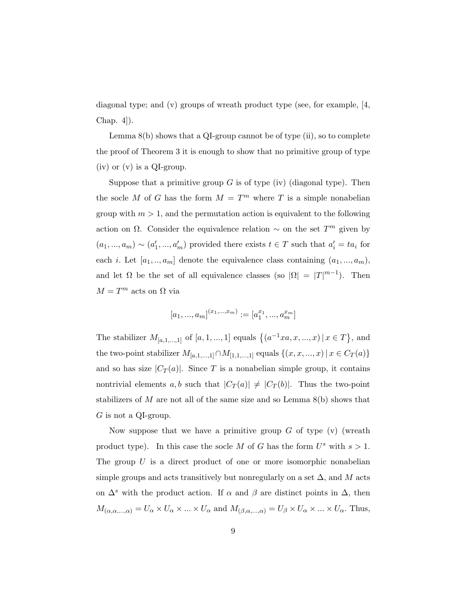diagonal type; and  $(v)$  groups of wreath product type (see, for example,  $[4,$ Chap. 4]).

Lemma  $8(b)$  shows that a QI-group cannot be of type (ii), so to complete the proof of Theorem 3 it is enough to show that no primitive group of type  $(iv)$  or  $(v)$  is a QI-group.

Suppose that a primitive group  $G$  is of type (iv) (diagonal type). Then the socle M of G has the form  $M = T<sup>m</sup>$  where T is a simple nonabelian group with  $m > 1$ , and the permutation action is equivalent to the following action on  $\Omega$ . Consider the equivalence relation  $\sim$  on the set  $T^m$  given by  $(a_1, ..., a_m) \sim (a'_1, ..., a'_m)$  provided there exists  $t \in T$  such that  $a'_i = ta_i$  for each *i*. Let  $[a_1, ..., a_m]$  denote the equivalence class containing  $(a_1, ..., a_m)$ , and let  $\Omega$  be the set of all equivalence classes (so  $|\Omega| = |T|^{m-1}$ ). Then  $M=T^m$  acts on  $\Omega$  via

$$
[a_1, ..., a_m]^{(x_1, ..., x_m)} := [a_1^{x_1}, ..., a_m^{x_m}]
$$

The stabilizer  $M_{[a,1,...,1]}$  of  $[a,1,...,1]$  equals  $\{(a^{-1}xa,x,...,x) | x \in T\}$ , and the two-point stabilizer  $M_{[a,1,\ldots,1]}\cap M_{[1,1,\ldots,1]}$  equals  $\{(x,x,\ldots,x)\,|\,x\in C_T(a)\}$ and so has size  $|C_T(a)|$ . Since T is a nonabelian simple group, it contains nontrivial elements a, b such that  $|C_T(a)| \neq |C_T(b)|$ . Thus the two-point stabilizers of  $M$  are not all of the same size and so Lemma  $8(b)$  shows that  $G$  is not a QI-group.

Now suppose that we have a primitive group  $G$  of type  $(v)$  (wreath product type). In this case the socle M of G has the form  $U^s$  with  $s > 1$ . The group  $U$  is a direct product of one or more isomorphic nonabelian simple groups and acts transitively but nonregularly on a set  $\Delta$ , and M acts on  $\Delta^s$  with the product action. If  $\alpha$  and  $\beta$  are distinct points in  $\Delta$ , then  $M_{(\alpha,\alpha,...,\alpha)} = U_\alpha \times U_\alpha \times ... \times U_\alpha$  and  $M_{(\beta,\alpha,...,\alpha)} = U_\beta \times U_\alpha \times ... \times U_\alpha$ . Thus,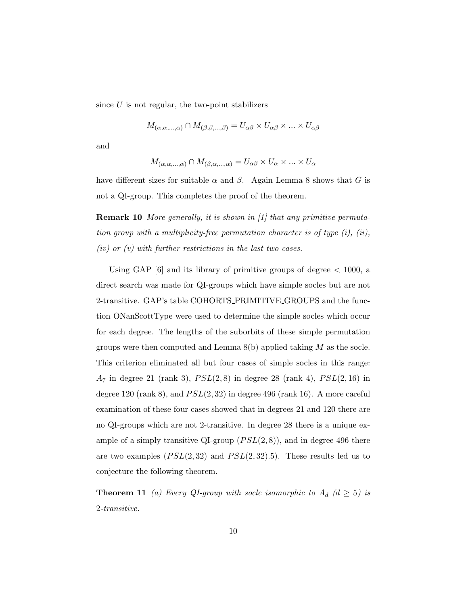since  $U$  is not regular, the two-point stabilizers

$$
M_{(\alpha,\alpha,...,\alpha)} \cap M_{(\beta,\beta,...,\beta)} = U_{\alpha\beta} \times U_{\alpha\beta} \times ... \times U_{\alpha\beta}
$$

and

$$
M_{(\alpha,\alpha,\dots,\alpha)} \cap M_{(\beta,\alpha,\dots,\alpha)} = U_{\alpha\beta} \times U_{\alpha} \times \dots \times U_{\alpha}
$$

have different sizes for suitable  $\alpha$  and  $\beta$ . Again Lemma 8 shows that G is not a QI-group. This completes the proof of the theorem.

**Remark 10** More generally, it is shown in [1] that any primitive permutation group with a multiplicity-free permutation character is of type (i), (ii),  $(iv)$  or  $(v)$  with further restrictions in the last two cases.

Using GAP  $[6]$  and its library of primitive groups of degree  $\lt$  1000, a direct search was made for QI-groups which have simple socles but are not 2-transitive. GAP's table COHORTS PRIMITIVE GROUPS and the function ONanScottType were used to determine the simple socles which occur for each degree. The lengths of the suborbits of these simple permutation groups were then computed and Lemma  $8(b)$  applied taking M as the socle. This criterion eliminated all but four cases of simple socles in this range:  $A_7$  in degree 21 (rank 3),  $PSL(2,8)$  in degree 28 (rank 4),  $PSL(2,16)$  in degree 120 (rank 8), and  $PSL(2,32)$  in degree 496 (rank 16). A more careful examination of these four cases showed that in degrees 21 and 120 there are no QI-groups which are not 2-transitive. In degree 28 there is a unique example of a simply transitive QI-group  $(PSL(2,8))$ , and in degree 496 there are two examples  $(PSL(2, 32)$  and  $PSL(2, 32).5)$ . These results led us to conjecture the following theorem.

**Theorem 11** (a) Every QI-group with socle isomorphic to  $A_d$  ( $d \geq 5$ ) is 2-transitive.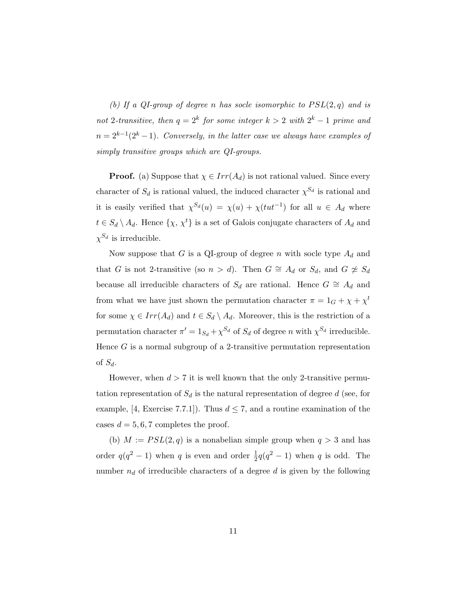(b) If a QI-group of degree n has socle isomorphic to  $PSL(2,q)$  and is not 2-transitive, then  $q = 2^k$  for some integer  $k > 2$  with  $2^k - 1$  prime and  $n = 2^{k-1}(2^k-1)$ . Conversely, in the latter case we always have examples of simply transitive groups which are QI-groups.

**Proof.** (a) Suppose that  $\chi \in Irr(A_d)$  is not rational valued. Since every character of  $S_d$  is rational valued, the induced character  $\chi^{S_d}$  is rational and it is easily verified that  $\chi^{S_d}(u) = \chi(u) + \chi(tut^{-1})$  for all  $u \in A_d$  where  $t \in S_d \setminus A_d$ . Hence  $\{\chi, \chi^t\}$  is a set of Galois conjugate characters of  $A_d$  and  $\chi^{S_d}$  is irreducible.

Now suppose that G is a QI-group of degree n with socle type  $A_d$  and that G is not 2-transitive (so  $n > d$ ). Then  $G \cong A_d$  or  $S_d$ , and  $G \not\cong S_d$ because all irreducible characters of  $S_d$  are rational. Hence  $G \cong A_d$  and from what we have just shown the permutation character  $\pi = 1_G + \chi + \chi^t$ for some  $\chi \in Irr(A_d)$  and  $t \in S_d \setminus A_d$ . Moreover, this is the restriction of a permutation character  $\pi' = 1_{S_d} + \chi^{S_d}$  of  $S_d$  of degree n with  $\chi^{S_d}$  irreducible. Hence  $G$  is a normal subgroup of a 2-transitive permutation representation of  $S_d$ .

However, when  $d > 7$  it is well known that the only 2-transitive permutation representation of  $S_d$  is the natural representation of degree d (see, for example, [4, Exercise 7.7.1]). Thus  $d \leq 7$ , and a routine examination of the cases  $d = 5, 6, 7$  completes the proof.

(b)  $M := PSL(2,q)$  is a nonabelian simple group when  $q > 3$  and has order  $q(q^2-1)$  when q is even and order  $\frac{1}{2}q(q^2-1)$  when q is odd. The number  $n_d$  of irreducible characters of a degree d is given by the following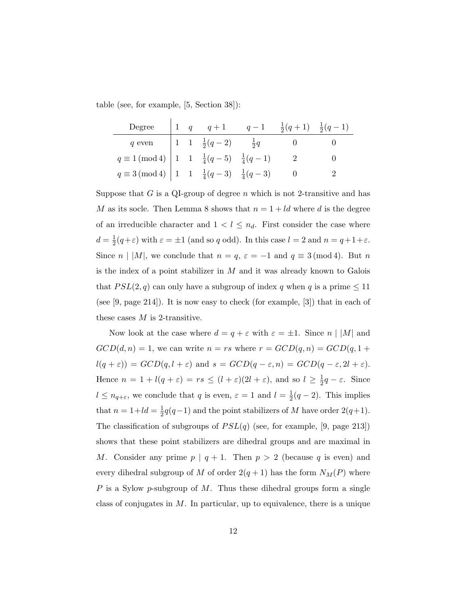table (see, for example, [5, Section 38]):

| Degree                                                                |  |                                       | 1 $q = 1$ $q = 1$ $\frac{1}{2}(q+1) = \frac{1}{2}(q-1)$ |  |
|-----------------------------------------------------------------------|--|---------------------------------------|---------------------------------------------------------|--|
| $q$ even                                                              |  | 1 1 $\frac{1}{2}(q-2)$ $\frac{1}{2}q$ |                                                         |  |
| $q \equiv 1 \pmod{4}$ 1 1 $\frac{1}{4}(q-5)$ $\frac{1}{4}(q-1)$       |  |                                       |                                                         |  |
| $q \equiv 3 \pmod{4}$   1   1 $\frac{1}{4}(q-3)$   $\frac{1}{4}(q-3)$ |  |                                       |                                                         |  |

Suppose that G is a QI-group of degree n which is not 2-transitive and has M as its socle. Then Lemma 8 shows that  $n = 1 + ld$  where d is the degree of an irreducible character and  $1 < l \leq n_d$ . First consider the case where  $d=\frac{1}{2}$  $\frac{1}{2}(q+\varepsilon)$  with  $\varepsilon = \pm 1$  (and so q odd). In this case  $l = 2$  and  $n = q+1+\varepsilon$ . Since  $n \mid |M|$ , we conclude that  $n = q$ ,  $\varepsilon = -1$  and  $q \equiv 3 \pmod{4}$ . But n is the index of a point stabilizer in  $M$  and it was already known to Galois that  $PSL(2,q)$  can only have a subgroup of index q when q is a prime  $\leq 11$ (see [9, page 214]). It is now easy to check (for example, [3]) that in each of these cases  $M$  is 2-transitive.

Now look at the case where  $d = q + \varepsilon$  with  $\varepsilon = \pm 1$ . Since  $n \mid |M|$  and  $GCD(d, n) = 1$ , we can write  $n = rs$  where  $r = GCD(q, n) = GCD(q, 1 +$  $l(q + \varepsilon)$ ) =  $GCD(q, l + \varepsilon)$  and  $s = GCD(q - \varepsilon, n) = GCD(q - \varepsilon, 2l + \varepsilon)$ . Hence  $n = 1 + l(q + \varepsilon) = rs \leq (l + \varepsilon)(2l + \varepsilon)$ , and so  $l \geq \frac{1}{2}$  $\frac{1}{2}q - \varepsilon$ . Since  $l \leq n_{q+\varepsilon}$ , we conclude that q is even,  $\varepsilon = 1$  and  $l = \frac{1}{2}$  $\frac{1}{2}(q-2)$ . This implies that  $n = 1 + ld = \frac{1}{2}$  $\frac{1}{2}q(q-1)$  and the point stabilizers of M have order  $2(q+1)$ . The classification of subgroups of  $PSL(q)$  (see, for example, [9, page 213]) shows that these point stabilizers are dihedral groups and are maximal in M. Consider any prime  $p | q + 1$ . Then  $p > 2$  (because q is even) and every dihedral subgroup of M of order  $2(q + 1)$  has the form  $N_M(P)$  where P is a Sylow p-subgroup of M. Thus these dihedral groups form a single class of conjugates in  $M$ . In particular, up to equivalence, there is a unique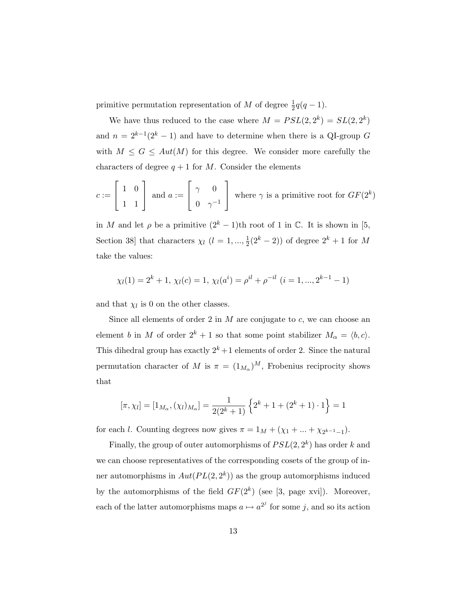primitive permutation representation of M of degree  $\frac{1}{2}q(q-1)$ .

We have thus reduced to the case where  $M = PSL(2, 2^k) = SL(2, 2^k)$ and  $n = 2^{k-1}(2^k - 1)$  and have to determine when there is a QI-group G with  $M \leq G \leq Aut(M)$  for this degree. We consider more carefully the characters of degree  $q + 1$  for M. Consider the elements

$$
c := \begin{bmatrix} 1 & 0 \\ 1 & 1 \end{bmatrix}
$$
 and  $a := \begin{bmatrix} \gamma & 0 \\ 0 & \gamma^{-1} \end{bmatrix}$  where  $\gamma$  is a primitive root for  $GF(2^k)$ 

in M and let  $\rho$  be a primitive  $(2<sup>k</sup> - 1)$ th root of 1 in C. It is shown in [5, Section 38] that characters  $\chi_l$   $(l = 1, ..., \frac{1}{2})$  $\frac{1}{2}(2^k-2)$  of degree  $2^k+1$  for M take the values:

$$
\chi_l(1) = 2^k + 1, \ \chi_l(c) = 1, \ \chi_l(a^i) = \rho^{il} + \rho^{-il} \ (i = 1, ..., 2^{k-1} - 1)
$$

and that  $\chi_l$  is 0 on the other classes.

Since all elements of order 2 in  $M$  are conjugate to  $c$ , we can choose an element b in M of order  $2^k + 1$  so that some point stabilizer  $M_\alpha = \langle b, c \rangle$ . This dihedral group has exactly  $2^k + 1$  elements of order 2. Since the natural permutation character of M is  $\pi = (1_{M_{\alpha}})^M$ , Frobenius reciprocity shows that

$$
[\pi, \chi_l] = [1_{M_\alpha}, (\chi_l)_{M_\alpha}] = \frac{1}{2(2^k + 1)} \left\{ 2^k + 1 + (2^k + 1) \cdot 1 \right\} = 1
$$

for each l. Counting degrees now gives  $\pi = 1_M + (\chi_1 + ... + \chi_{2^{k-1}-1}).$ 

Finally, the group of outer automorphisms of  $PSL(2, 2<sup>k</sup>)$  has order k and we can choose representatives of the corresponding cosets of the group of inner automorphisms in  $Aut(PL(2, 2^k))$  as the group automorphisms induced by the automorphisms of the field  $GF(2^k)$  (see [3, page xvi]). Moreover, each of the latter automorphisms maps  $a \mapsto a^{2^j}$  for some j, and so its action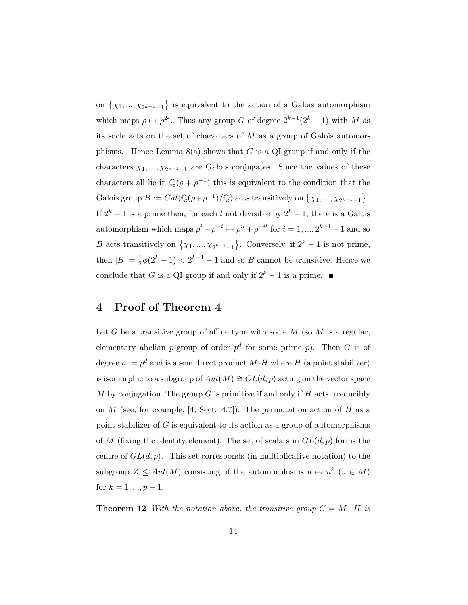on  $\{\chi_1, ..., \chi_{2^{k-1}-1}\}\$  is equivalent to the action of a Galois automorphism which maps  $\rho \mapsto \rho^{2^j}$ . Thus any group G of degree  $2^{k-1}(2^k-1)$  with M as its socle acts on the set of characters of  $M$  as a group of Galois automorphisms. Hence Lemma  $8(a)$  shows that G is a QI-group if and only if the characters  $\chi_1, ..., \chi_{2^{k-1}-1}$  are Galois conjugates. Since the values of these characters all lie in  $\mathbb{Q}(\rho + \rho^{-1})$  this is equivalent to the condition that the Galois group  $B := Gal(\mathbb{Q}(\rho + \rho^{-1})/\mathbb{Q})$  acts transitively on  $\{\chi_1, ..., \chi_{2^{k-1}-1}\}\$ . If  $2^k - 1$  is a prime then, for each l not divisible by  $2^k - 1$ , there is a Galois automorphism which maps  $\rho^i + \rho^{-i} \mapsto \rho^{il} + \rho^{-il}$  for  $i = 1, ..., 2^{k-1} - 1$  and so B acts transitively on  $\{\chi_1, ..., \chi_{2^{k-1}-1}\}$ . Conversely, if  $2^k - 1$  is not prime, then  $|B|=\frac{1}{2}$  $\frac{1}{2}\phi(2^k-1) < 2^{k-1}-1$  and so B cannot be transitive. Hence we conclude that G is a QI-group if and only if  $2^k - 1$  is a prime. ■

## 4 Proof of Theorem 4

Let G be a transitive group of affine type with socle  $M$  (so  $M$  is a regular, elementary abelian *p*-group of order  $p^d$  for some prime *p*). Then *G* is of degree  $n := p^d$  and is a semidirect product  $M \cdot H$  where H (a point stabilizer) is isomorphic to a subgroup of  $Aut(M) \cong GL(d, p)$  acting on the vector space M by conjugation. The group G is primitive if and only if H acts irreducibly on  $M$  (see, for example, [4, Sect. 4.7]). The permutation action of  $H$  as a point stabilizer of  $G$  is equivalent to its action as a group of automorphisms of M (fixing the identity element). The set of scalars in  $GL(d, p)$  forms the centre of  $GL(d, p)$ . This set corresponds (in multiplicative notation) to the subgroup  $Z \leq Aut(M)$  consisting of the automorphisms  $u \mapsto u^k$   $(u \in M)$ for  $k = 1, ..., p - 1$ .

**Theorem 12** With the notation above, the transitive group  $G = M \cdot H$  is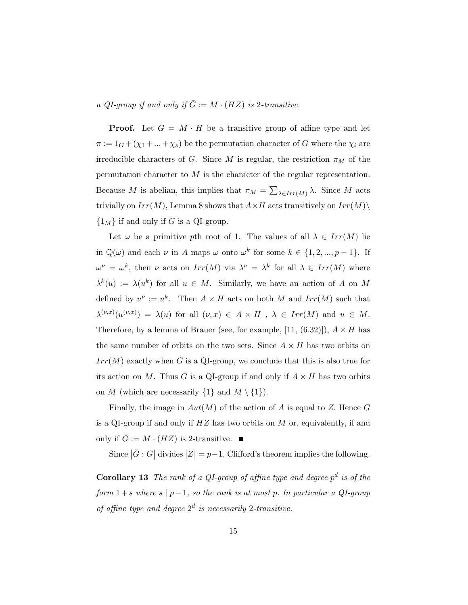#### a QI-group if and only if  $\overline{G} := M \cdot (HZ)$  is 2-transitive.

**Proof.** Let  $G = M \cdot H$  be a transitive group of affine type and let  $\pi:=1_G+(\chi_1+\ldots+\chi_s)$  be the permutation character of  $G$  where the  $\chi_i$  are irreducible characters of G. Since M is regular, the restriction  $\pi_M$  of the permutation character to  $M$  is the character of the regular representation. Because M is abelian, this implies that  $\pi_M = \sum_{\lambda \in Irr(M)} \lambda$ . Since M acts trivially on  $Irr(M)$ , Lemma 8 shows that  $A \times H$  acts transitively on  $Irr(M)\setminus$  $\{1_M\}$  if and only if G is a QI-group.

Let  $\omega$  be a primitive pth root of 1. The values of all  $\lambda \in Irr(M)$  lie in  $\mathbb{Q}(\omega)$  and each  $\nu$  in A maps  $\omega$  onto  $\omega^k$  for some  $k \in \{1, 2, ..., p-1\}$ . If  $\omega^{\nu} = \omega^{k}$ , then  $\nu$  acts on  $Irr(M)$  via  $\lambda^{\nu} = \lambda^{k}$  for all  $\lambda \in Irr(M)$  where  $\lambda^k(u) := \lambda(u^k)$  for all  $u \in M$ . Similarly, we have an action of A on M defined by  $u^{\nu} := u^k$ . Then  $A \times H$  acts on both M and  $Irr(M)$  such that  $\lambda^{(\nu,x)}(u^{(\nu,x)}) = \lambda(u)$  for all  $(\nu,x) \in A \times H$ ,  $\lambda \in Irr(M)$  and  $u \in M$ . Therefore, by a lemma of Brauer (see, for example, [11,  $(6.32)$ ]),  $A \times H$  has the same number of orbits on the two sets. Since  $A \times H$  has two orbits on  $Irr(M)$  exactly when G is a QI-group, we conclude that this is also true for its action on M. Thus G is a QI-group if and only if  $A \times H$  has two orbits on M (which are necessarily  $\{1\}$  and  $M \setminus \{1\}$ ).

Finally, the image in  $Aut(M)$  of the action of A is equal to Z. Hence G is a QI-group if and only if  $HZ$  has two orbits on M or, equivalently, if and only if  $\bar{G} := M \cdot (HZ)$  is 2-transitive.

Since  $|\bar{G}:G|$  divides  $|Z| = p-1$ , Clifford's theorem implies the following.

**Corollary 13** The rank of a QI-group of affine type and degree  $p^d$  is of the form  $1+s$  where  $s \mid p-1$ , so the rank is at most p. In particular a QI-group of affine type and degree  $2^d$  is necessarily 2-transitive.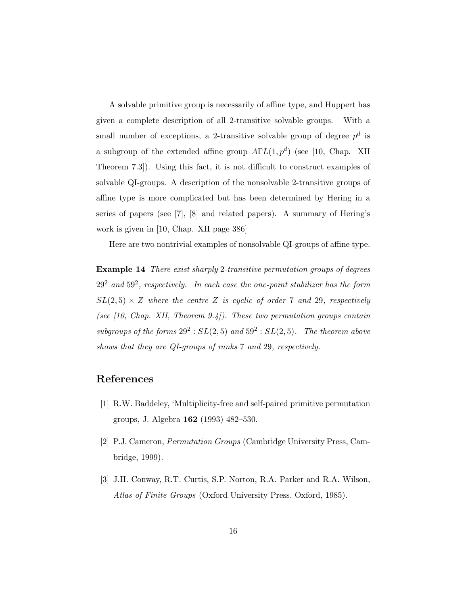A solvable primitive group is necessarily of affine type, and Huppert has given a complete description of all 2-transitive solvable groups. With a small number of exceptions, a 2-transitive solvable group of degree  $p^d$  is a subgroup of the extended affine group  $A\Gamma L(1,p^d)$  (see [10, Chap. XII Theorem 7.3]). Using this fact, it is not difficult to construct examples of solvable QI-groups. A description of the nonsolvable 2-transitive groups of affine type is more complicated but has been determined by Hering in a series of papers (see [7], [8] and related papers). A summary of Hering's work is given in [10, Chap. XII page 386]

Here are two nontrivial examples of nonsolvable QI-groups of affine type.

Example 14 There exist sharply 2-transitive permutation groups of degrees  $29^2$  and  $59^2$ , respectively. In each case the one-point stabilizer has the form  $SL(2,5) \times Z$  where the centre Z is cyclic of order 7 and 29, respectively (see  $[10, Chap. XII, Theorem 9.4]$ ). These two permutation groups contain subgroups of the forms  $29^2 : SL(2,5)$  and  $59^2 : SL(2,5)$ . The theorem above shows that they are QI-groups of ranks 7 and 29, respectively.

### References

- [1] R.W. Baddeley, 'Multiplicity-free and self-paired primitive permutation groups, J. Algebra 162 (1993) 482–530.
- [2] P.J. Cameron, Permutation Groups (Cambridge University Press, Cambridge, 1999).
- [3] J.H. Conway, R.T. Curtis, S.P. Norton, R.A. Parker and R.A. Wilson, Atlas of Finite Groups (Oxford University Press, Oxford, 1985).